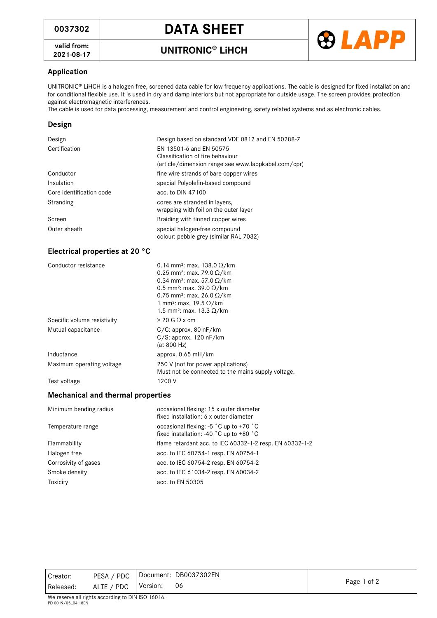# **<sup>0037302</sup> DATA SHEET**

**valid from:**

**2021-08-17 UNITRONIC LiHCH**



## **Application**

UNITRONIC LiHCH is a halogen free, screened data cable for low frequency applications. The cable is designed for fixed installation and for conditional flexible use. It is used in dry and damp interiors but not appropriate for outside usage. The screen provides protection against electromagnetic interferences.

The cable is used for data processing, measurement and control engineering, safety related systems and as electronic cables.

### **Design**

| Design                   | Design based on standard VDE 0812 and EN 50288-7                                                                   |
|--------------------------|--------------------------------------------------------------------------------------------------------------------|
| Certification            | EN 13501-6 and EN 50575<br>Classification of fire behaviour<br>(article/dimension range see www.lappkabel.com/cpr) |
| Conductor                | fine wire strands of bare copper wires                                                                             |
| Insulation               | special Polyolefin-based compound                                                                                  |
| Core identification code | acc. to DIN 47100                                                                                                  |
| Stranding                | cores are stranded in layers,<br>wrapping with foil on the outer layer                                             |
| Screen                   | Braiding with tinned copper wires                                                                                  |
| Outer sheath             | special halogen-free compound<br>colour: pebble grey (similar RAL 7032)                                            |

### **Electrical properties at 20 °C**

| Conductor resistance        | 0.14 mm <sup>2</sup> : max. 138.0 $\Omega$ /km<br>0.25 mm <sup>2</sup> : max. 79.0 $\Omega$ /km<br>0.34 mm <sup>2</sup> : max. 57.0 $\Omega$ /km<br>0.5 mm <sup>2</sup> : max. 39.0 $\Omega$ /km<br>0.75 mm <sup>2</sup> : max. 26.0 $\Omega$ /km<br>1 mm <sup>2</sup> : max. 19.5 $\Omega$ /km<br>1.5 mm <sup>2</sup> ; max. 13.3 Ω/km |
|-----------------------------|-----------------------------------------------------------------------------------------------------------------------------------------------------------------------------------------------------------------------------------------------------------------------------------------------------------------------------------------|
| Specific volume resistivity | $> 20$ G Q x cm                                                                                                                                                                                                                                                                                                                         |
| Mutual capacitance          | $C/C$ : approx. 80 nF/km<br>$C/S$ : approx. 120 nF/km<br>(at 800 Hz)                                                                                                                                                                                                                                                                    |
| Inductance                  | approx. 0.65 mH/km                                                                                                                                                                                                                                                                                                                      |
| Maximum operating voltage   | 250 V (not for power applications)<br>Must not be connected to the mains supply voltage.                                                                                                                                                                                                                                                |
| Test voltage                | 1200 V                                                                                                                                                                                                                                                                                                                                  |

#### **Mechanical and thermal properties**

| Minimum bending radius | occasional flexing: 15 x outer diameter<br>fixed installation: 6 x outer diameter                     |
|------------------------|-------------------------------------------------------------------------------------------------------|
| Temperature range      | occasional flexing: -5 °C up to +70 °C<br>fixed installation: -40 $^{\circ}$ C up to +80 $^{\circ}$ C |
| Flammability           | flame retardant acc. to IEC 60332-1-2 resp. EN 60332-1-2                                              |
| Halogen free           | acc. to IEC 60754-1 resp. EN 60754-1                                                                  |
| Corrosivity of gases   | acc. to IEC 60754-2 resp. EN 60754-2                                                                  |
| Smoke density          | acc. to IEC 61034-2 resp. EN 60034-2                                                                  |
| Toxicity               | acc. to EN 50305                                                                                      |